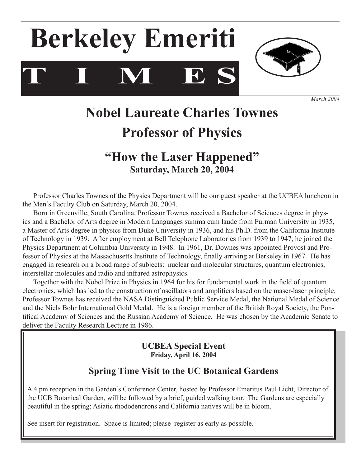**T I M E S Berkeley Emeriti**



*March 2004*

# **Nobel Laureate Charles Townes Professor of Physics**

# **"How the Laser Happened" Saturday, March 20, 2004**

Professor Charles Townes of the Physics Department will be our guest speaker at the UCBEA luncheon in the Men's Faculty Club on Saturday, March 20, 2004.

Born in Greenville, South Carolina, Professor Townes received a Bachelor of Sciences degree in physics and a Bachelor of Arts degree in Modern Languages summa cum laude from Furman University in 1935, a Master of Arts degree in physics from Duke University in 1936, and his Ph.D. from the California Institute of Technology in 1939. After employment at Bell Telephone Laboratories from 1939 to 1947, he joined the Physics Department at Columbia University in 1948. In 1961, Dr. Downes was appointed Provost and Professor of Physics at the Massachusetts Institute of Technology, finally arriving at Berkeley in 1967. He has engaged in research on a broad range of subjects: nuclear and molecular structures, quantum electronics, interstellar molecules and radio and infrared astrophysics.

Together with the Nobel Prize in Physics in 1964 for his for fundamental work in the field of quantum electronics, which has led to the construction of oscillators and amplifiers based on the maser-laser principle, Professor Townes has received the NASA Distinguished Public Service Medal, the National Medal of Science and the Niels Bohr International Gold Medal. He is a foreign member of the British Royal Society, the Pontifical Academy of Sciences and the Russian Academy of Science. He was chosen by the Academic Senate to deliver the Faculty Research Lecture in 1986.

# **UCBEA Special Event Friday, April 16, 2004**

# **Spring Time Visit to the UC Botanical Gardens**

<sup>A</sup> <sup>4</sup> pm reception in the Garden's Conference Center, hosted by Professor Emeritus Paul Licht, Director of the UCB Botanical Garden, will be followed by a brief, guided walking tour. The Gardens are especially beautiful in the spring; Asiatic rhododendrons and California natives will be in bloom.

See insert for registration. Space is limited; please register as early as possible.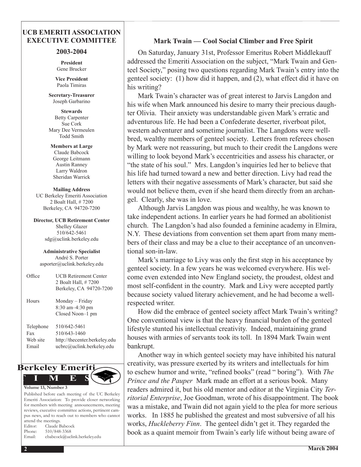# **UCB EMERITI ASSOCIATION EXECUTIVE COMMITTEE**

### **2003-2004**

**President** Gene Brucker

**Vice President** Paola Timiras

**Secretary-Treasurer**  Joseph Garbarino

**Stewards** Betty Carpenter Sue Cork Mary Dee Vermeulen Todd Smith

**Members at Large** Claude Babcock George Leitmann Austin Ranney Larry Waldron Sheridan Warrick

**Mailing Address** UC Berkeley Emeriti Association 2 Boalt Hall, # 7200 Berkeley, CA 94720-7200

**Director, UCB Retirement Center** Shelley Glazer 510/642-5461 sdg@uclink.berkeley.edu

**Administrative Specialist** André S. Porter asporter@uclink.berkeley.edu

| Office                                | <b>UCB Retirement Center</b><br>2 Boalt Hall, #7200<br>Berkeley, CA 94720-7200             |
|---------------------------------------|--------------------------------------------------------------------------------------------|
| Hours                                 | Monday – Friday<br>$8:30$ am $-4:30$ pm<br>Closed Noon–1 pm                                |
| Telephone<br>Fax<br>Web site<br>Email | 510/642-5461<br>510/643-1460<br>http://thecenter.berkeley.edu<br>ucbrc@uclink.berkeley.edu |



### Published before each meeting of the UC Berkeley Emeriti Association: To provide closer networking for members with meeting announcements, meeting reviews, executive committee actions, pertinent campus news, and to reach out to members who cannot attend the meetings. Editor: Claude Babcock Phone: 510/848-3368 Email: cbabcock@uclink.berkeley.edu

# **Mark Twain — Cool Social Climber and Free Spirit**

On Saturday, January 31st, Professor Emeritus Robert Middlekauff addressed the Emeriti Association on the subject, "Mark Twain and Genteel Society," posing two questions regarding Mark Twain's entry into the genteel society: (1) how did it happen, and (2), what effect did it have on his writing?

Mark Twain's character was of great interest to Jarvis Langdon and his wife when Mark announced his desire to marry their precious daughter Olivia. Their anxiety was understandable given Mark's erratic and adventurous life. He had been a Confederate deserter, riverboat pilot, western adventurer and sometime journalist. The Langdons were wellbred, wealthy members of genteel society. Letters from referees chosen by Mark were not reassuring, but much to their credit the Langdons were willing to look beyond Mark's eccentricities and assess his character, or "the state of his soul." Mrs. Langdon's inquiries led her to believe that his life had turned toward a new and better direction. Livy had read the letters with their negative assessments of Mark's character, but said she would not believe them, even if she heard them directly from an archangel. Clearly, she was in love.

Although Jarvis Langdon was pious and wealthy, he was known to take independent actions. In earlier years he had formed an abolitionist church. The Langdon's had also founded a feminine academy in Elmira, N.Y. These deviations from convention set them apart from many members of their class and may be a clue to their acceptance of an unconventional son-in-law.

Mark's marriage to Livy was only the first step in his acceptance by genteel society. In a few years he was welcomed everywhere. His welcome even extended into New England society, the proudest, oldest and most self-confident in the country. Mark and Livy were accepted partly because society valued literary achievement, and he had become a wellrespected writer.

How did the embrace of genteel society affect Mark Twain's writing? One conventional view is that the heavy financial burden of the genteel lifestyle stunted his intellectual creativity. Indeed, maintaining grand houses with armies of servants took its toll. In 1894 Mark Twain went bankrupt.

Another way in which genteel society may have inhibited his natural creativity, was pressure exerted by its writers and intellectuals for him to eschew humor and write, "refined books" (read " boring"). With *The Prince and the Pauper* Mark made an effort at a serious book. Many readers admired it, but his old mentor and editor at the Virginia City *Territorial Enterprise*, Joe Goodman, wrote of his disappointment. The book was a mistake, and Twain did not again yield to the plea for more serious works. In 1885 he published the greatest and most subversive of all his works, *Huckleberry Finn*. The genteel didn't get it. They regarded the book as a quaint memoir from Twain's early life without being aware of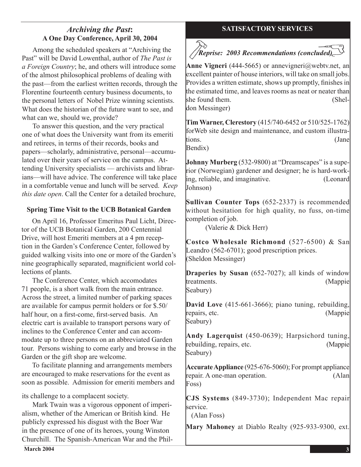# *Archiving the Past***: SATISFACTORY SERVICES A One Day Conference, April 30, 2004**

Among the scheduled speakers at "Archiving the Past" will be David Lowenthal, author of *The Past is a Foreign Country*; he, and others will introduce some of the almost philosophical problems of dealing with the past—from the earliest written records, through the Florentine fourteenth century business documents, to the personal letters of Nobel Prize winning scientists. What does the historian of the future want to see, and what can we, should we, provide?

To answer this question, and the very practical one of what does the University want from its emeriti and retirees, in terms of their records, books and papers—scholarly, administrative, personal—accumulated over their years of service on the campus. Attending University specialists — archivists and librarians—will have advice. The conference will take place in a comfortable venue and lunch will be served. *Keep this date open*. Call the Center for a detailed brochure,

# **Spring Time Visit to the UCB Botanical Garden**

 On April 16, Professor Emeritus Paul Licht, Director of the UCB Botanical Garden, 200 Centennial Drive, will host Emeriti members at a 4 pm reception in the Garden's Conference Center, followed by guided walking visits into one or more of the Garden's nine geographically separated, magnificient world collections of plants.

 The Conference Center, which accomodates 71 people, is a short walk from the main entrance. Across the street, a limited number of parking spaces are available for campus permit holders or for \$.50/ half hour, on a first-come, first-served basis. An electric cart is available to transport persons wary of inclines to the Conference Center and can accommodate up to three persons on an abbreviated Garden tour. Persons wishing to come early and browse in the Garden or the gift shop are welcome.

 To facilitate planning and arrangements members are encouraged to make reservations for the event as soon as possible. Admission for emeriti members and

its challenge to a complacent society.

Mark Twain was a vigorous opponent of imperialism, whether of the American or British kind. He publicly expressed his disgust with the Boer War in the presence of one of its heroes, young Winston Churchill. The Spanish-American War and the Phil-

*<i>Riv* Reprise: 2003 Recommendations (concluded)

**Anne Vigneri** (444-5665) or annevigneri@webtv.net, an excellent painter of house interiors, will take on small jobs. Provides a written estimate, shows up promptly, finishes in the estimated time, and leaves rooms as neat or neater than  $s$ he found them.  $\qquad s$   $\qquad \qquad$   $\qquad \qquad$   $\qquad$   $\qquad$   $\qquad$   $\qquad$   $\qquad$   $\qquad$   $\qquad$   $\qquad$   $\qquad$   $\qquad$   $\qquad$   $\qquad$   $\qquad$   $\qquad$   $\qquad$   $\qquad$   $\qquad$   $\qquad$   $\qquad$   $\qquad$   $\qquad$   $\qquad$   $\qquad$   $\qquad$   $\qquad$   $\qquad$   $\qquad$   $\qquad$   $\qquad$   $\qquad$ don Messinger)

**Tim Warner, Clerestory** (415/740-6452 or 510/525-1762) forWeb site design and maintenance, and custom illustrations. (Jane Bendix)

**Johnny Murberg** (532-9800) at "Dreamscapes" is a superior (Norwegian) gardener and designer; he is hard-working, reliable, and imaginative. (Leonard Johnson)

**Sullivan Counter Tops** (652-2337) is recommended without hesitation for high quality, no fuss, on-time completion of job.

(Valerie & Dick Herr)

**Costco Wholesale Richmond** (527-6500) & San Leandro (562-6701); good prescription prices. (Sheldon Messinger)

**Draperies by Susan** (652-7027); all kinds of window treatments. (Mappie) Seabury)

**David Love** (415-661-3666); piano tuning, rebuilding, repairs, etc. (Mappie Seabury)

**Andy Lagerquist** (450-0639); Harpsichord tuning, rebuilding, repairs, etc. (Mappie) Seabury)

**Accurate Appliance** (925-676-5060); For prompt appliance repair. A one-man operation. (Alan Foss)

**CJS Systems** (849-3730); Independent Mac repair service. 

(Alan Foss)

**Mary Mahoney** at Diablo Realty (925-933-9300, ext.